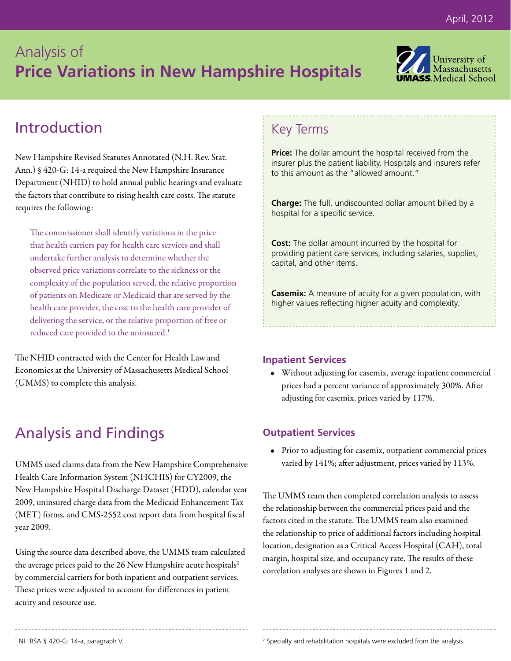# Analysis of **Price Variations in New Hampshire Hospitals**



### Introduction

New Hampshire Revised Statutes Annotated (N.H. Rev. Stat. Ann.) § 420-G: 14-a required the New Hampshire Insurance Department (NHID) to hold annual public hearings and evaluate the factors that contribute to rising health care costs. The statute requires the following:

The commissioner shall identify variations in the price that health carriers pay for health care services and shall undertake further analysis to determine whether the observed price variations correlate to the sickness or the complexity of the population served, the relative proportion of patients on Medicare or Medicaid that are served by the health care provider, the cost to the health care provider of delivering the service, or the relative proportion of free or reduced care provided to the uninsured.<sup>1</sup>

The NHID contracted with the Center for Health Law and Economics at the University of Massachusetts Medical School (UMMS) to complete this analysis.

## Analysis and Findings

UMMS used claims data from the New Hampshire Comprehensive Health Care Information System (NHCHIS) for CY2009, the New Hampshire Hospital Discharge Dataset (HDD), calendar year 2009, uninsured charge data from the Medicaid Enhancement Tax (MET) forms, and CMS-2552 cost report data from hospital fiscal year 2009.

Using the source data described above, the UMMS team calculated the average prices paid to the 26 New Hampshire acute hospitals<sup>2</sup> by commercial carriers for both inpatient and outpatient services. These prices were adjusted to account for differences in patient acuity and resource use.

### Key Terms

**Price:** The dollar amount the hospital received from the insurer plus the patient liability. Hospitals and insurers refer to this amount as the "allowed amount."

**Charge:** The full, undiscounted dollar amount billed by a hospital for a specific service.

**Cost:** The dollar amount incurred by the hospital for providing patient care services, including salaries, supplies, capital, and other items.

**Casemix:** A measure of acuity for a given population, with higher values reflecting higher acuity and complexity.

#### **Inpatient Services**

• Without adjusting for casemix, average inpatient commercial prices had a percent variance of approximately 300%. After adjusting for casemix, prices varied by 117%.

### **Outpatient Services**

• Prior to adjusting for casemix, outpatient commercial prices varied by 141%; after adjustment, prices varied by 113%.

The UMMS team then completed correlation analysis to assess the relationship between the commercial prices paid and the factors cited in the statute. The UMMS team also examined the relationship to price of additional factors including hospital location, designation as a Critical Access Hospital (CAH), total margin, hospital size, and occupancy rate. The results of these correlation analyses are shown in Figures 1 and 2.

<sup>2</sup> Specialty and rehabilitation hospitals were excluded from the analysis.